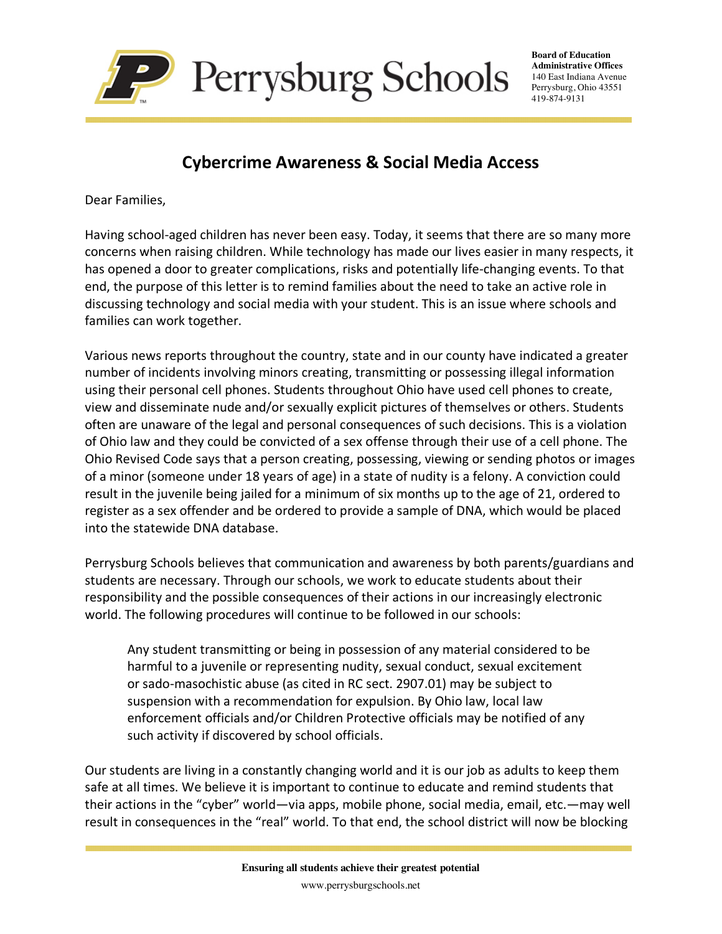

**Board of Education Administrative Offices** 140 East Indiana Avenue Perrysburg, Ohio 43551 419-874-9131

## **Cybercrime Awareness & Social Media Access**

Dear Families,

Having school-aged children has never been easy. Today, it seems that there are so many more concerns when raising children. While technology has made our lives easier in many respects, it has opened a door to greater complications, risks and potentially life-changing events. To that end, the purpose of this letter is to remind families about the need to take an active role in discussing technology and social media with your student. This is an issue where schools and families can work together.

Various news reports throughout the country, state and in our county have indicated a greater number of incidents involving minors creating, transmitting or possessing illegal information using their personal cell phones. Students throughout Ohio have used cell phones to create, view and disseminate nude and/or sexually explicit pictures of themselves or others. Students often are unaware of the legal and personal consequences of such decisions. This is a violation of Ohio law and they could be convicted of a sex offense through their use of a cell phone. The Ohio Revised Code says that a person creating, possessing, viewing or sending photos or images of a minor (someone under 18 years of age) in a state of nudity is a felony. A conviction could result in the juvenile being jailed for a minimum of six months up to the age of 21, ordered to register as a sex offender and be ordered to provide a sample of DNA, which would be placed into the statewide DNA database.

Perrysburg Schools believes that communication and awareness by both parents/guardians and students are necessary. Through our schools, we work to educate students about their responsibility and the possible consequences of their actions in our increasingly electronic world. The following procedures will continue to be followed in our schools:

Any student transmitting or being in possession of any material considered to be harmful to a juvenile or representing nudity, sexual conduct, sexual excitement or sado-masochistic abuse (as cited in RC sect. 2907.01) may be subject to suspension with a recommendation for expulsion. By Ohio law, local law enforcement officials and/or Children Protective officials may be notified of any such activity if discovered by school officials.

Our students are living in a constantly changing world and it is our job as adults to keep them safe at all times. We believe it is important to continue to educate and remind students that their actions in the "cyber" world—via apps, mobile phone, social media, email, etc.—may well result in consequences in the "real" world. To that end, the school district will now be blocking